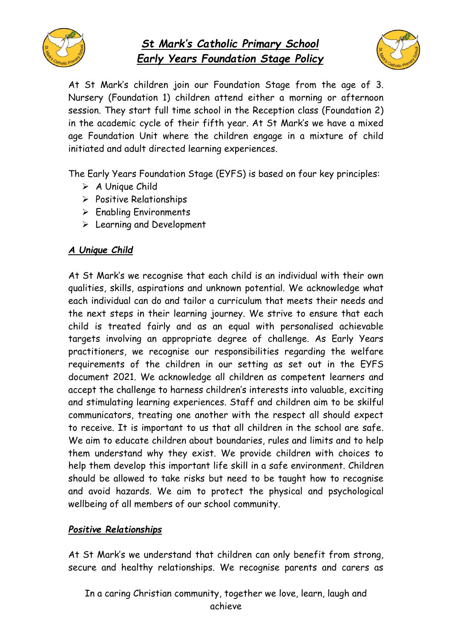

# *St Mark's Catholic Primary School Early Years Foundation Stage Policy*



At St Mark's children join our Foundation Stage from the age of 3. Nursery (Foundation 1) children attend either a morning or afternoon session. They start full time school in the Reception class (Foundation 2) in the academic cycle of their fifth year. At St Mark's we have a mixed age Foundation Unit where the children engage in a mixture of child initiated and adult directed learning experiences.

The Early Years Foundation Stage (EYFS) is based on four key principles:

- ➢ A Unique Child
- ➢ Positive Relationships
- ➢ Enabling Environments
- ➢ Learning and Development

# *A Unique Child*

At St Mark's we recognise that each child is an individual with their own qualities, skills, aspirations and unknown potential. We acknowledge what each individual can do and tailor a curriculum that meets their needs and the next steps in their learning journey. We strive to ensure that each child is treated fairly and as an equal with personalised achievable targets involving an appropriate degree of challenge. As Early Years practitioners, we recognise our responsibilities regarding the welfare requirements of the children in our setting as set out in the EYFS document 2021. We acknowledge all children as competent learners and accept the challenge to harness children's interests into valuable, exciting and stimulating learning experiences. Staff and children aim to be skilful communicators, treating one another with the respect all should expect to receive. It is important to us that all children in the school are safe. We aim to educate children about boundaries, rules and limits and to help them understand why they exist. We provide children with choices to help them develop this important life skill in a safe environment. Children should be allowed to take risks but need to be taught how to recognise and avoid hazards. We aim to protect the physical and psychological wellbeing of all members of our school community.

# *Positive Relationships*

At St Mark's we understand that children can only benefit from strong, secure and healthy relationships. We recognise parents and carers as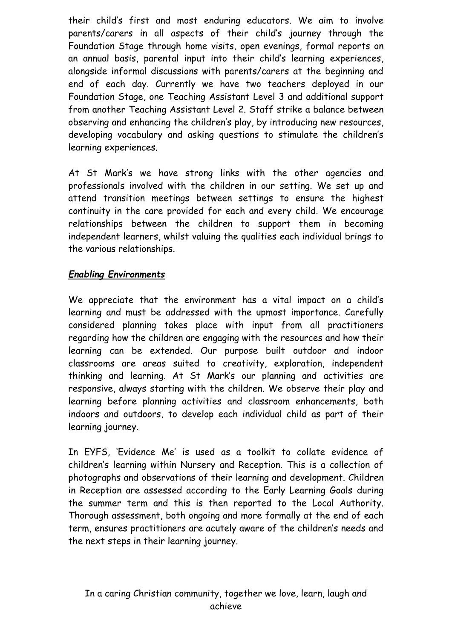their child's first and most enduring educators. We aim to involve parents/carers in all aspects of their child's journey through the Foundation Stage through home visits, open evenings, formal reports on an annual basis, parental input into their child's learning experiences, alongside informal discussions with parents/carers at the beginning and end of each day. Currently we have two teachers deployed in our Foundation Stage, one Teaching Assistant Level 3 and additional support from another Teaching Assistant Level 2. Staff strike a balance between observing and enhancing the children's play, by introducing new resources, developing vocabulary and asking questions to stimulate the children's learning experiences.

At St Mark's we have strong links with the other agencies and professionals involved with the children in our setting. We set up and attend transition meetings between settings to ensure the highest continuity in the care provided for each and every child. We encourage relationships between the children to support them in becoming independent learners, whilst valuing the qualities each individual brings to the various relationships.

# *Enabling Environments*

We appreciate that the environment has a vital impact on a child's learning and must be addressed with the upmost importance. Carefully considered planning takes place with input from all practitioners regarding how the children are engaging with the resources and how their learning can be extended. Our purpose built outdoor and indoor classrooms are areas suited to creativity, exploration, independent thinking and learning. At St Mark's our planning and activities are responsive, always starting with the children. We observe their play and learning before planning activities and classroom enhancements, both indoors and outdoors, to develop each individual child as part of their learning journey.

In EYFS, 'Evidence Me' is used as a toolkit to collate evidence of children's learning within Nursery and Reception. This is a collection of photographs and observations of their learning and development. Children in Reception are assessed according to the Early Learning Goals during the summer term and this is then reported to the Local Authority. Thorough assessment, both ongoing and more formally at the end of each term, ensures practitioners are acutely aware of the children's needs and the next steps in their learning journey.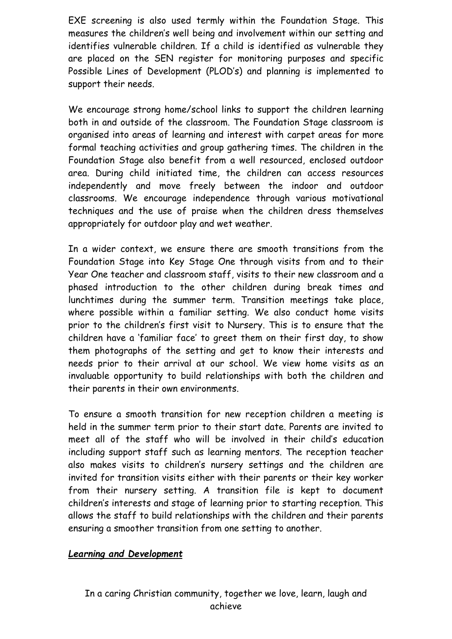EXE screening is also used termly within the Foundation Stage. This measures the children's well being and involvement within our setting and identifies vulnerable children. If a child is identified as vulnerable they are placed on the SEN register for monitoring purposes and specific Possible Lines of Development (PLOD's) and planning is implemented to support their needs.

We encourage strong home/school links to support the children learning both in and outside of the classroom. The Foundation Stage classroom is organised into areas of learning and interest with carpet areas for more formal teaching activities and group gathering times. The children in the Foundation Stage also benefit from a well resourced, enclosed outdoor area. During child initiated time, the children can access resources independently and move freely between the indoor and outdoor classrooms. We encourage independence through various motivational techniques and the use of praise when the children dress themselves appropriately for outdoor play and wet weather.

In a wider context, we ensure there are smooth transitions from the Foundation Stage into Key Stage One through visits from and to their Year One teacher and classroom staff, visits to their new classroom and a phased introduction to the other children during break times and lunchtimes during the summer term. Transition meetings take place, where possible within a familiar setting. We also conduct home visits prior to the children's first visit to Nursery. This is to ensure that the children have a 'familiar face' to greet them on their first day, to show them photographs of the setting and get to know their interests and needs prior to their arrival at our school. We view home visits as an invaluable opportunity to build relationships with both the children and their parents in their own environments.

To ensure a smooth transition for new reception children a meeting is held in the summer term prior to their start date. Parents are invited to meet all of the staff who will be involved in their child's education including support staff such as learning mentors. The reception teacher also makes visits to children's nursery settings and the children are invited for transition visits either with their parents or their key worker from their nursery setting. A transition file is kept to document children's interests and stage of learning prior to starting reception. This allows the staff to build relationships with the children and their parents ensuring a smoother transition from one setting to another.

### *Learning and Development*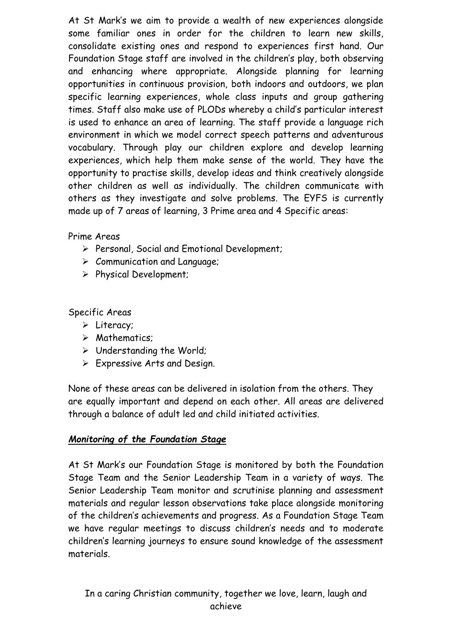At St Mark's we aim to provide a wealth of new experiences alongside some familiar ones in order for the children to learn new skills, consolidate existing ones and respond to experiences first hand. Our Foundation Stage staff are involved in the children's play, both observing and enhancing where appropriate. Alongside planning for learning opportunities in continuous provision, both indoors and outdoors, we plan specific learning experiences, whole class inputs and group gathering times. Staff also make use of PLODs whereby a child's particular interest is used to enhance an area of learning. The staff provide a language rich environment in which we model correct speech patterns and adventurous vocabulary. Through play our children explore and develop learning experiences, which help them make sense of the world. They have the opportunity to practise skills, develop ideas and think creatively alongside other children as well as individually. The children communicate with others as they investigate and solve problems. The EYFS is currently made up of 7 areas of learning, 3 Prime area and 4 Specific areas:

# Prime Areas

- ➢ Personal, Social and Emotional Development;
- ➢ Communication and Language;
- ➢ Physical Development;

Specific Areas

- ➢ Literacy;
- ➢ Mathematics;
- ➢ Understanding the World;
- ➢ Expressive Arts and Design.

None of these areas can be delivered in isolation from the others. They are equally important and depend on each other. All areas are delivered through a balance of adult led and child initiated activities.

### *Monitoring of the Foundation Stage*

At St Mark's our Foundation Stage is monitored by both the Foundation Stage Team and the Senior Leadership Team in a variety of ways. The Senior Leadership Team monitor and scrutinise planning and assessment materials and regular lesson observations take place alongside monitoring of the children's achievements and progress. As a Foundation Stage Team we have regular meetings to discuss children's needs and to moderate children's learning journeys to ensure sound knowledge of the assessment materials.